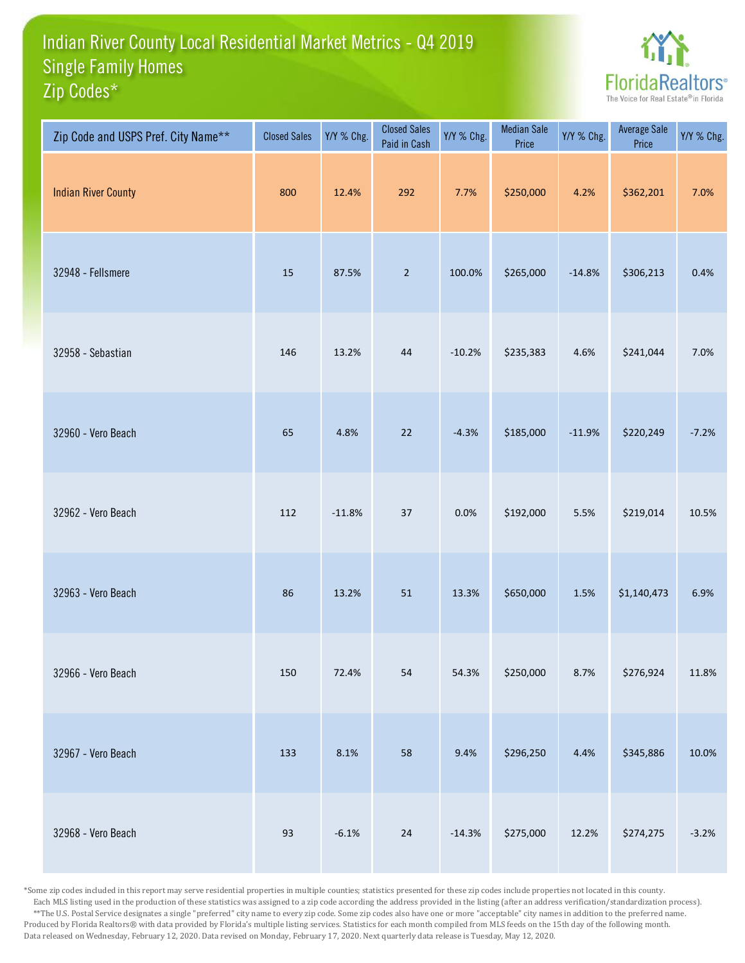## Indian River County Local Residential Market Metrics - Q4 2019 Zip Codes\* Single Family Homes



| Zip Code and USPS Pref. City Name** | <b>Closed Sales</b> | Y/Y % Chg. | <b>Closed Sales</b><br>Paid in Cash | Y/Y % Chg. | <b>Median Sale</b><br>Price | Y/Y % Chg. | <b>Average Sale</b><br>Price | Y/Y % Chg. |
|-------------------------------------|---------------------|------------|-------------------------------------|------------|-----------------------------|------------|------------------------------|------------|
| <b>Indian River County</b>          | 800                 | 12.4%      | 292                                 | 7.7%       | \$250,000                   | 4.2%       | \$362,201                    | 7.0%       |
| 32948 - Fellsmere                   | 15                  | 87.5%      | $\overline{2}$                      | 100.0%     | \$265,000                   | $-14.8%$   | \$306,213                    | 0.4%       |
| 32958 - Sebastian                   | 146                 | 13.2%      | 44                                  | $-10.2%$   | \$235,383                   | 4.6%       | \$241,044                    | 7.0%       |
| 32960 - Vero Beach                  | 65                  | 4.8%       | $22$                                | $-4.3%$    | \$185,000                   | $-11.9%$   | \$220,249                    | $-7.2%$    |
| 32962 - Vero Beach                  | 112                 | $-11.8%$   | 37                                  | 0.0%       | \$192,000                   | 5.5%       | \$219,014                    | 10.5%      |
| 32963 - Vero Beach                  | 86                  | 13.2%      | 51                                  | 13.3%      | \$650,000                   | $1.5\%$    | \$1,140,473                  | 6.9%       |
| 32966 - Vero Beach                  | 150                 | 72.4%      | 54                                  | 54.3%      | \$250,000                   | 8.7%       | \$276,924                    | 11.8%      |
| 32967 - Vero Beach                  | 133                 | 8.1%       | 58                                  | 9.4%       | \$296,250                   | 4.4%       | \$345,886                    | 10.0%      |
| 32968 - Vero Beach                  | 93                  | $-6.1%$    | $24\,$                              | $-14.3%$   | \$275,000                   | 12.2%      | \$274,275                    | $-3.2%$    |

\*Some zip codes included in this report may serve residential properties in multiple counties; statistics presented for these zip codes include properties not located in this county. Each MLS listing used in the production of these statistics was assigned to a zip code according the address provided in the listing (after an address verification/standardization process). \*\*The U.S. Postal Service designates a single "preferred" city name to every zip code. Some zip codes also have one or more "acceptable" city names in addition to the preferred name. Produced by Florida Realtors® with data provided by Florida's multiple listing services. Statistics for each month compiled from MLS feeds on the 15th day of the following month. Data released on Wednesday, February 12, 2020. Data revised on Monday, February 17, 2020. Next quarterly data release is Tuesday, May 12, 2020.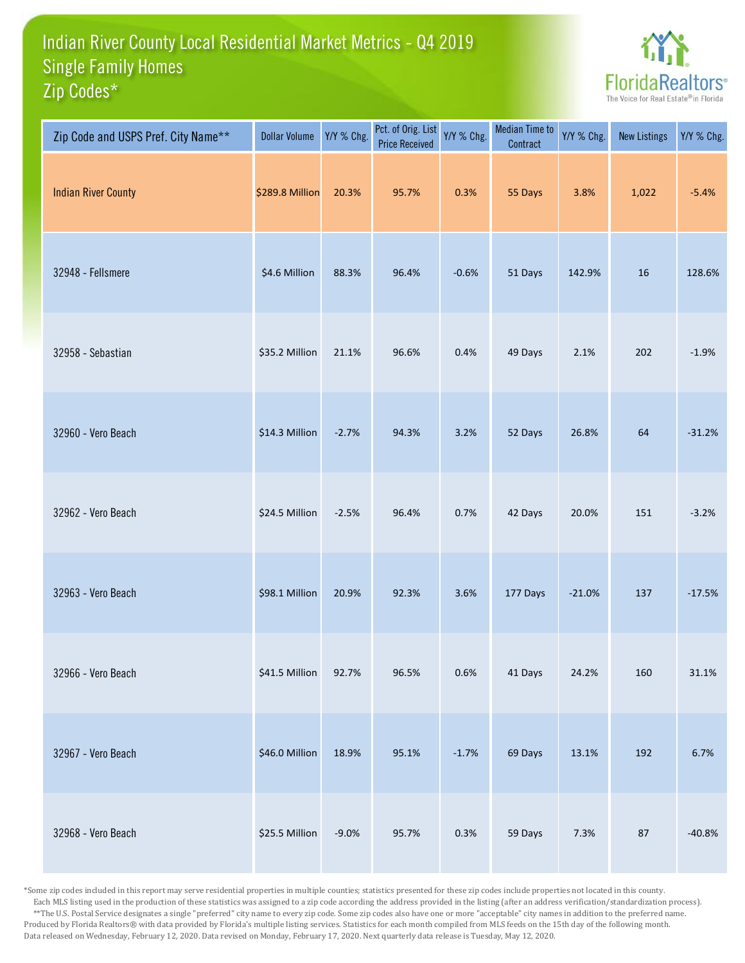## Indian River County Local Residential Market Metrics - Q4 2019 Zip Codes\* Single Family Homes



| Zip Code and USPS Pref. City Name** | <b>Dollar Volume</b> | Y/Y % Chg. | Pct. of Orig. List<br><b>Price Received</b> | Y/Y % Chg. | <b>Median Time to</b><br>Contract | Y/Y % Chg. | <b>New Listings</b> | Y/Y % Chg. |
|-------------------------------------|----------------------|------------|---------------------------------------------|------------|-----------------------------------|------------|---------------------|------------|
| <b>Indian River County</b>          | \$289.8 Million      | 20.3%      | 95.7%                                       | 0.3%       | 55 Days                           | 3.8%       | 1,022               | $-5.4%$    |
| 32948 - Fellsmere                   | \$4.6 Million        | 88.3%      | 96.4%                                       | $-0.6%$    | 51 Days                           | 142.9%     | 16                  | 128.6%     |
| 32958 - Sebastian                   | \$35.2 Million       | 21.1%      | 96.6%                                       | 0.4%       | 49 Days                           | 2.1%       | 202                 | $-1.9%$    |
| 32960 - Vero Beach                  | \$14.3 Million       | $-2.7%$    | 94.3%                                       | 3.2%       | 52 Days                           | 26.8%      | 64                  | $-31.2%$   |
| 32962 - Vero Beach                  | \$24.5 Million       | $-2.5%$    | 96.4%                                       | 0.7%       | 42 Days                           | 20.0%      | 151                 | $-3.2%$    |
| 32963 - Vero Beach                  | \$98.1 Million       | 20.9%      | 92.3%                                       | 3.6%       | 177 Days                          | $-21.0%$   | 137                 | $-17.5%$   |
| 32966 - Vero Beach                  | \$41.5 Million       | 92.7%      | 96.5%                                       | 0.6%       | 41 Days                           | 24.2%      | 160                 | 31.1%      |
| 32967 - Vero Beach                  | \$46.0 Million       | 18.9%      | 95.1%                                       | $-1.7%$    | 69 Days                           | 13.1%      | 192                 | 6.7%       |
| 32968 - Vero Beach                  | \$25.5 Million       | $-9.0%$    | 95.7%                                       | 0.3%       | 59 Days                           | 7.3%       | 87                  | $-40.8%$   |

\*Some zip codes included in this report may serve residential properties in multiple counties; statistics presented for these zip codes include properties not located in this county. Each MLS listing used in the production of these statistics was assigned to a zip code according the address provided in the listing (after an address verification/standardization process). \*\*The U.S. Postal Service designates a single "preferred" city name to every zip code. Some zip codes also have one or more "acceptable" city names in addition to the preferred name. Produced by Florida Realtors® with data provided by Florida's multiple listing services. Statistics for each month compiled from MLS feeds on the 15th day of the following month. Data released on Wednesday, February 12, 2020. Data revised on Monday, February 17, 2020. Next quarterly data release is Tuesday, May 12, 2020.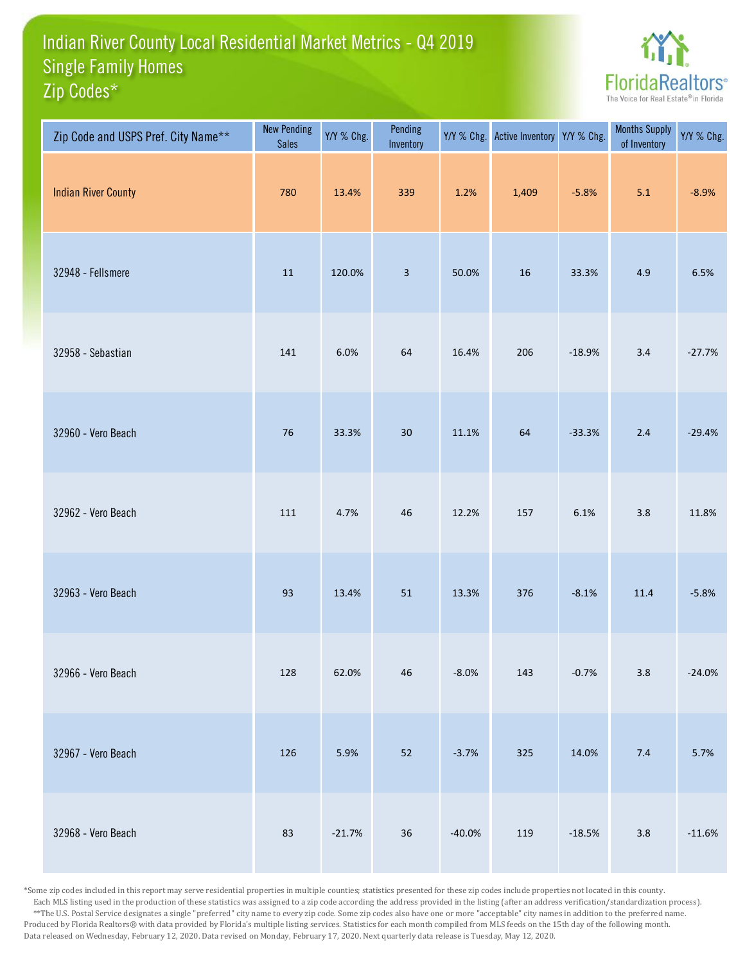## Indian River County Local Residential Market Metrics - Q4 2019 Zip Codes\* Single Family Homes



| Zip Code and USPS Pref. City Name** | <b>New Pending</b><br><b>Sales</b> | Y/Y % Chg. | Pending<br>Inventory    |          | Y/Y % Chg. Active Inventory Y/Y % Chg. |          | <b>Months Supply</b><br>of Inventory | Y/Y % Chg. |
|-------------------------------------|------------------------------------|------------|-------------------------|----------|----------------------------------------|----------|--------------------------------------|------------|
| <b>Indian River County</b>          | 780                                | 13.4%      | 339                     | 1.2%     | 1,409                                  | $-5.8%$  | 5.1                                  | $-8.9%$    |
| 32948 - Fellsmere                   | $11\,$                             | 120.0%     | $\overline{\mathbf{3}}$ | 50.0%    | 16                                     | 33.3%    | 4.9                                  | 6.5%       |
| 32958 - Sebastian                   | 141                                | 6.0%       | 64                      | 16.4%    | 206                                    | $-18.9%$ | 3.4                                  | $-27.7%$   |
| 32960 - Vero Beach                  | 76                                 | 33.3%      | 30                      | 11.1%    | 64                                     | $-33.3%$ | $2.4\,$                              | $-29.4%$   |
| 32962 - Vero Beach                  | 111                                | 4.7%       | 46                      | 12.2%    | 157                                    | 6.1%     | 3.8                                  | 11.8%      |
| 32963 - Vero Beach                  | 93                                 | 13.4%      | 51                      | 13.3%    | 376                                    | $-8.1%$  | $11.4\,$                             | $-5.8%$    |
| 32966 - Vero Beach                  | 128                                | 62.0%      | 46                      | $-8.0%$  | 143                                    | $-0.7%$  | $3.8\,$                              | $-24.0%$   |
| 32967 - Vero Beach                  | 126                                | 5.9%       | 52                      | $-3.7%$  | 325                                    | 14.0%    | 7.4                                  | 5.7%       |
| 32968 - Vero Beach                  | 83                                 | $-21.7%$   | $36\,$                  | $-40.0%$ | 119                                    | $-18.5%$ | $3.8\,$                              | $-11.6%$   |

\*Some zip codes included in this report may serve residential properties in multiple counties; statistics presented for these zip codes include properties not located in this county. Each MLS listing used in the production of these statistics was assigned to a zip code according the address provided in the listing (after an address verification/standardization process). \*\*The U.S. Postal Service designates a single "preferred" city name to every zip code. Some zip codes also have one or more "acceptable" city names in addition to the preferred name. Produced by Florida Realtors® with data provided by Florida's multiple listing services. Statistics for each month compiled from MLS feeds on the 15th day of the following month. Data released on Wednesday, February 12, 2020. Data revised on Monday, February 17, 2020. Next quarterly data release is Tuesday, May 12, 2020.